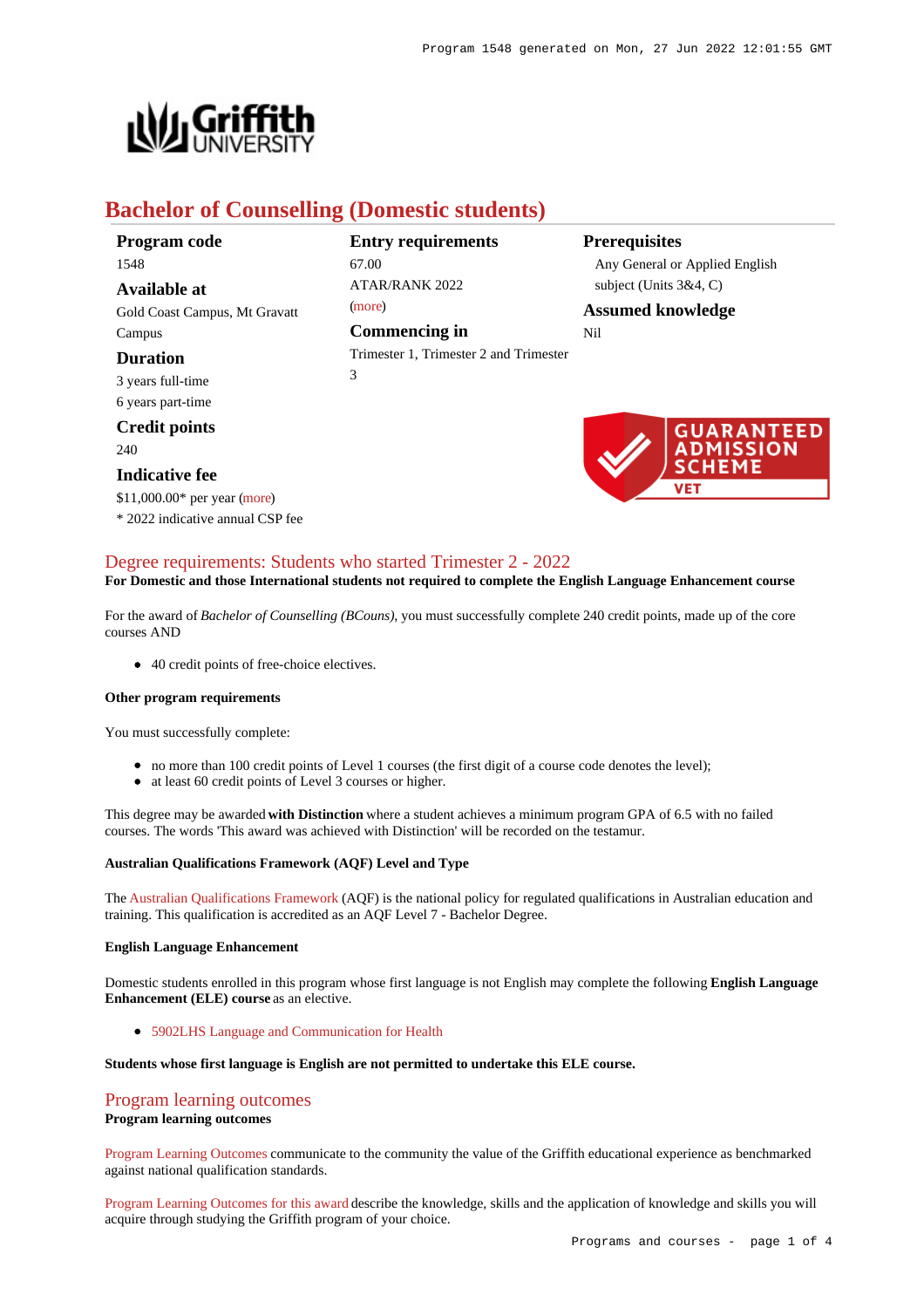

# **Bachelor of Counselling (Domestic students)**

| Program code |  |
|--------------|--|
| 1548         |  |

**Available at** Gold Coast Campus, Mt Gravatt Campus

## **Duration**

3 years full-time 6 years part-time

### **Credit points**

240

### **Indicative fee**

\$11,000.00\* per year [\(more](https://www148.griffith.edu.au/programs-courses/Program/1548/Overview/Domestic#fees)) \* 2022 indicative annual CSP fee

# **Entry requirements** 67.00  $ATAP/RANK 2022$ [\(more](https://www148.griffith.edu.au/programs-courses/Program/1548/HowToApply/Domestic#tac-entry-requirements)) **Commencing in**

Trimester 1, Trimester 2 and Trimester 3

### **Prerequisites**

Any General or Applied English subject (Units 3&4, C)

**Assumed knowledge**





# [Degree requirements: Students who started Trimester 2 - 2022](https://www148.griffith.edu.au/programs-courses/Program/1548/Courses/Domestic#degree-requirements)

**For Domestic and those International students not required to complete the English Language Enhancement course**

For the award of *Bachelor of Counselling (BCouns)*, you must successfully complete 240 credit points, made up of the core courses AND

• 40 credit points of free-choice electives.

#### **Other program requirements**

You must successfully complete:

- no more than 100 credit points of Level 1 courses (the first digit of a course code denotes the level);
- at least 60 credit points of Level 3 courses or higher.

This degree may be awarded **with Distinction** where a student achieves a minimum program GPA of 6.5 with no failed courses. The words 'This award was achieved with Distinction' will be recorded on the testamur.

#### **Australian Qualifications Framework (AQF) Level and Type**

The [Australian Qualifications Framework](http://www.aqf.edu.au/) (AQF) is the national policy for regulated qualifications in Australian education and training. This qualification is accredited as an AQF Level 7 - Bachelor Degree.

#### **English Language Enhancement**

Domestic students enrolled in this program whose first language is not English may complete the following **English Language Enhancement (ELE) course** as an elective.

[5902LHS Language and Communication for Health](https://www148.griffith.edu.au/Course/5902LHS)

#### **Students whose first language is English are not permitted to undertake this ELE course.**

### [Program learning outcomes](https://www148.griffith.edu.au/programs-courses/Program/1548/Courses/Domestic#programLearningOutcomes)

#### **Program learning outcomes**

[Program Learning Outcomes](https://www.griffith.edu.au/__data/assets/pdf_file/0017/134522/PLO-general-advice.pdf) communicate to the community the value of the Griffith educational experience as benchmarked against national qualification standards.

[Program Learning Outcomes for this award](https://www.griffith.edu.au/__data/assets/pdf_file/0027/295614/BCounselling-PLO-L7.pdf) describe the knowledge, skills and the application of knowledge and skills you will acquire through studying the Griffith program of your choice.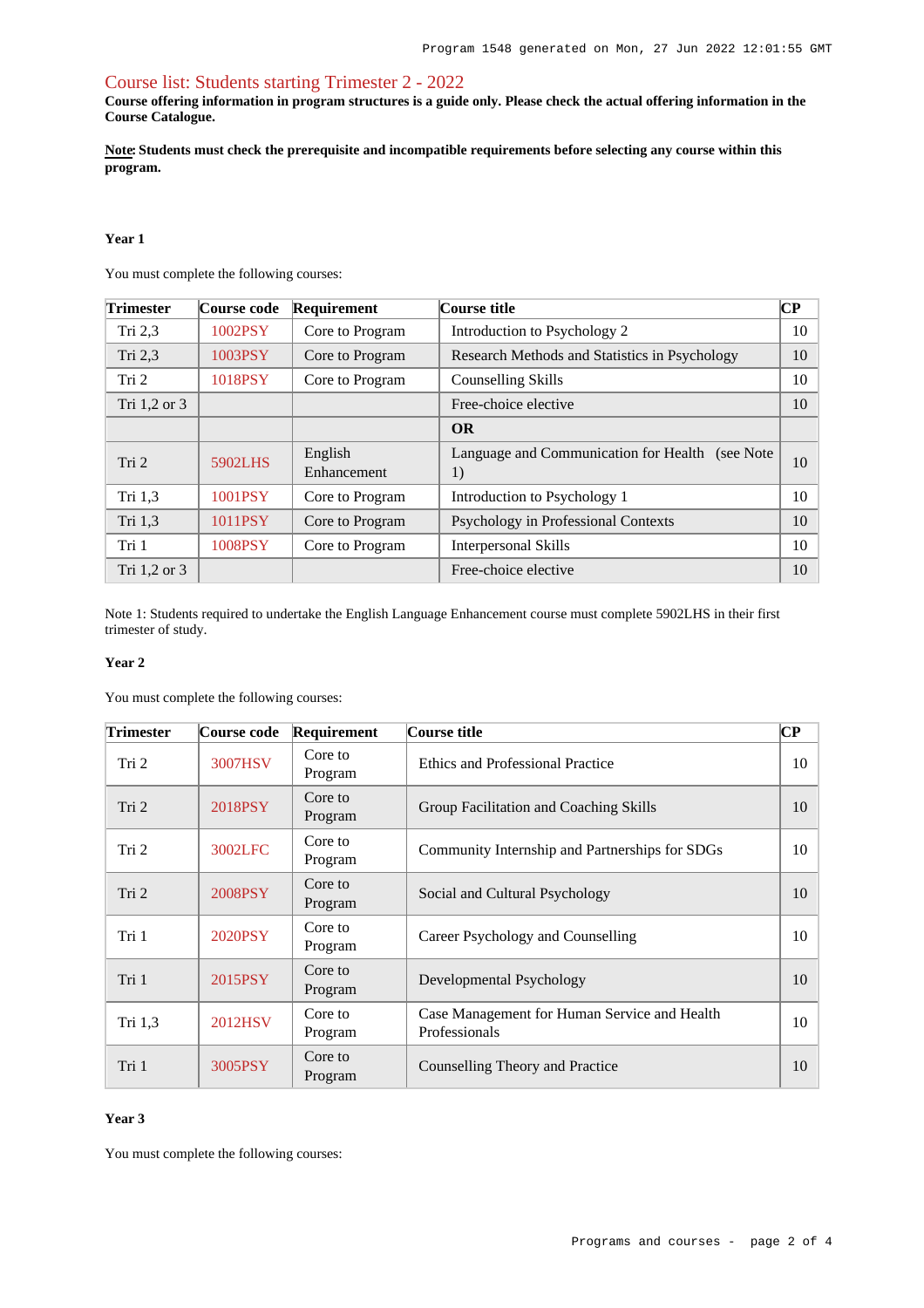### [Course list: Students starting Trimester 2 - 2022](https://www148.griffith.edu.au/programs-courses/Program/1548/Courses/Domestic#course-list-content)

**Course offering information in program structures is a guide only. Please check the actual offering information in the Course Catalogue.**

**Note: Students must check the prerequisite and incompatible requirements before selecting any course within this program.**

#### **Year 1**

You must complete the following courses:

| <b>Trimester</b> | Course code | Requirement            | Course title                                           | $\mathbf{C}\mathbf{P}$ |
|------------------|-------------|------------------------|--------------------------------------------------------|------------------------|
| Tri $2,3$        | 1002PSY     | Core to Program        | Introduction to Psychology 2                           | 10                     |
| Tri 2,3          | 1003PSY     | Core to Program        | Research Methods and Statistics in Psychology          | 10                     |
| Tri 2            | 1018PSY     | Core to Program        | Counselling Skills                                     | 10                     |
| Tri 1,2 or 3     |             |                        | Free-choice elective                                   | 10                     |
|                  |             |                        | <b>OR</b>                                              |                        |
| Tri 2            | 5902LHS     | English<br>Enhancement | Language and Communication for Health (see Note)<br>1) | 10                     |
| Tri 1,3          | 1001PSY     | Core to Program        | Introduction to Psychology 1                           | 10                     |
| Tri 1,3          | 1011PSY     | Core to Program        | Psychology in Professional Contexts                    | 10                     |
| Tri 1            | 1008PSY     | Core to Program        | <b>Interpersonal Skills</b>                            | 10                     |
| Tri 1,2 or 3     |             |                        | Free-choice elective                                   | 10                     |

Note 1: Students required to undertake the English Language Enhancement course must complete 5902LHS in their first trimester of study.

#### **Year 2**

You must complete the following courses:

| <b>Trimester</b> | Course code | Requirement        | Course title                                                  | $\bf CP$ |
|------------------|-------------|--------------------|---------------------------------------------------------------|----------|
| Tri 2            | 3007HSV     | Core to<br>Program | Ethics and Professional Practice                              | 10       |
| Tri 2            | 2018PSY     | Core to<br>Program | Group Facilitation and Coaching Skills                        | 10       |
| Tri 2            | 3002LFC     | Core to<br>Program | Community Internship and Partnerships for SDGs                | 10       |
| Tri 2            | 2008PSY     | Core to<br>Program | Social and Cultural Psychology                                | 10       |
| Tri 1            | 2020PSY     | Core to<br>Program | Career Psychology and Counselling                             | 10       |
| Tri 1            | 2015PSY     | Core to<br>Program | Developmental Psychology                                      | 10       |
| Tri $1,3$        | 2012HSV     | Core to<br>Program | Case Management for Human Service and Health<br>Professionals | 10       |
| Tri 1            | 3005PSY     | Core to<br>Program | Counselling Theory and Practice                               | 10       |

#### **Year 3**

You must complete the following courses: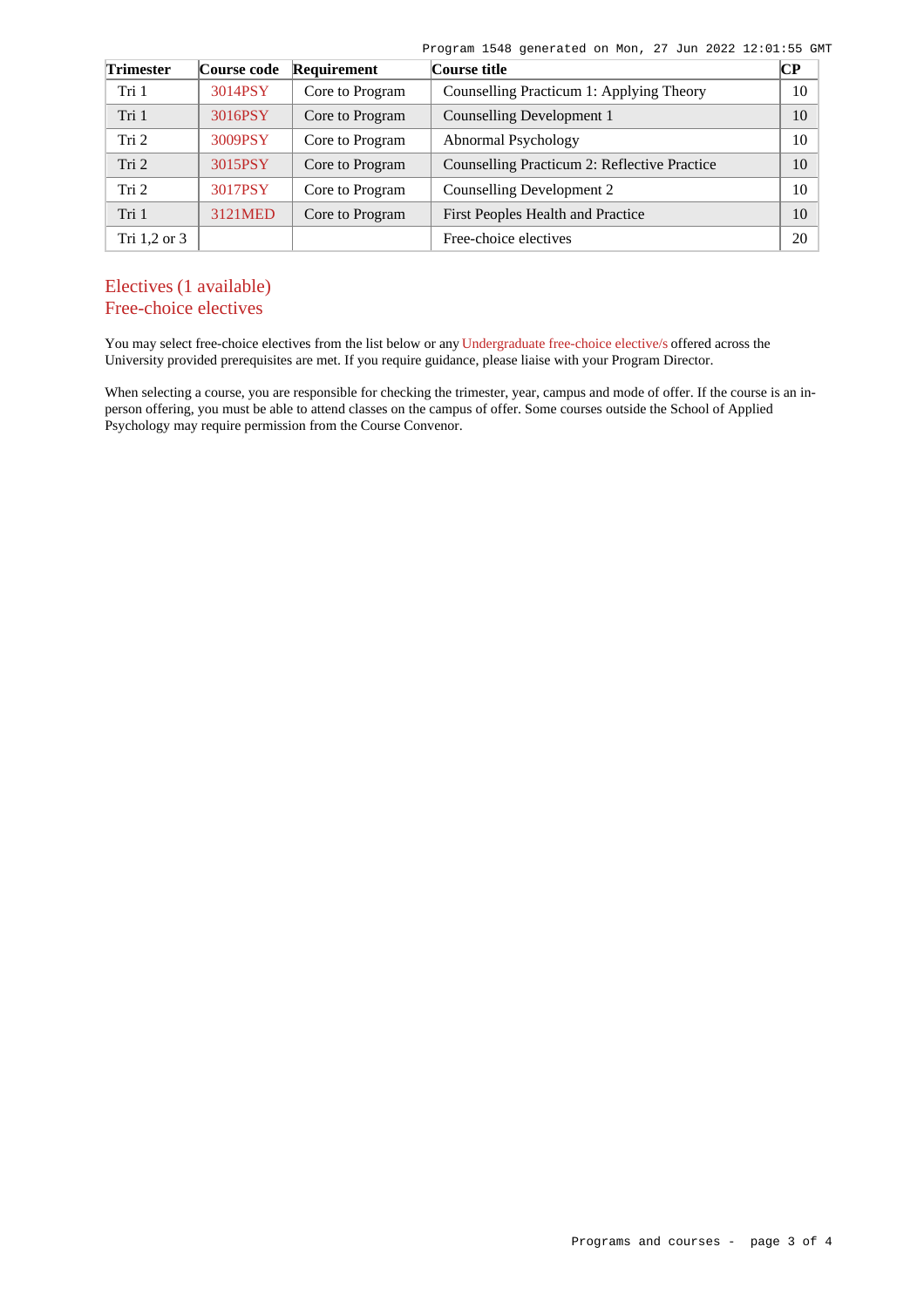Program 1548 generated on Mon, 27 Jun 2022 12:01:55 GMT

| <b>Trimester</b> | Course code | Requirement     | Course title                                 | $\overline{\mathbf{CP}}$ |
|------------------|-------------|-----------------|----------------------------------------------|--------------------------|
| Tri 1            | 3014PSY     | Core to Program | Counselling Practicum 1: Applying Theory     | 10                       |
| Tri 1            | 3016PSY     | Core to Program | Counselling Development 1                    | 10                       |
| Tri 2            | 3009PSY     | Core to Program | Abnormal Psychology                          | 10                       |
| Tri 2            | 3015PSY     | Core to Program | Counselling Practicum 2: Reflective Practice | 10                       |
| Tri <sub>2</sub> | 3017PSY     | Core to Program | Counselling Development 2                    | 10                       |
| Tri 1            | 3121MED     | Core to Program | First Peoples Health and Practice            | 10                       |
| Tri $1,2$ or $3$ |             |                 | Free-choice electives                        | 20                       |

# Electives (1 available) Free-choice electives

You may select free-choice electives from the list below or any [Undergraduate free-choice elective/s](https://www148.griffith.edu.au/programs-courses/Search/Results?SearchRequestType=CourseCatalogue&AcademicCareerName=UGRD&IsFreeChoiceElective=True) offered across the University provided prerequisites are met. If you require guidance, please liaise with your Program Director.

When selecting a course, you are responsible for checking the trimester, year, campus and mode of offer. If the course is an inperson offering, you must be able to attend classes on the campus of offer. Some courses outside the School of Applied Psychology may require permission from the Course Convenor.